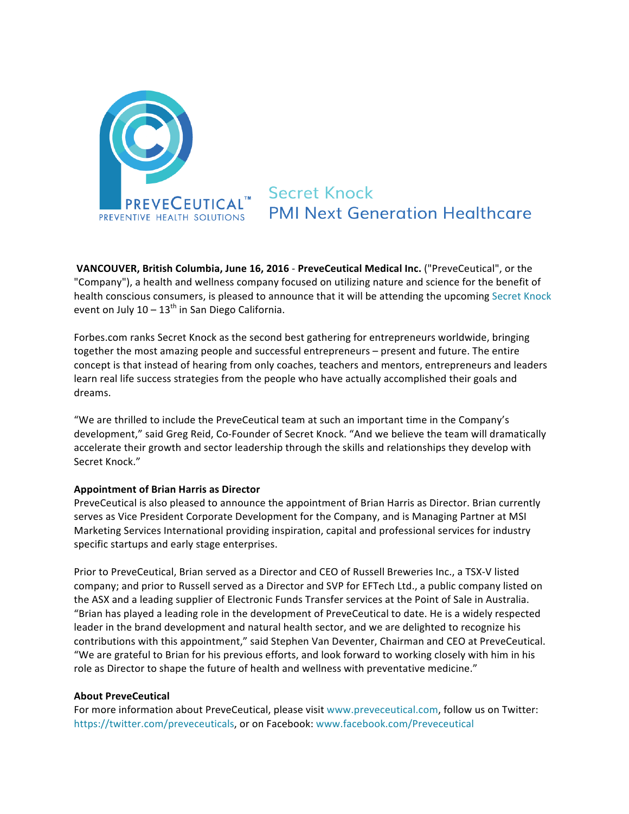

**Secret Knock PMI Next Generation Healthcare** 

**VANCOUVER, British Columbia, June 16, 2016 - PreveCeutical Medical Inc. ("PreveCeutical", or the** "Company"), a health and wellness company focused on utilizing nature and science for the benefit of health conscious consumers, is pleased to announce that it will be attending the upcoming Secret Knock event on July  $10 - 13^{th}$  in San Diego California.

Forbes.com ranks Secret Knock as the second best gathering for entrepreneurs worldwide, bringing together the most amazing people and successful entrepreneurs – present and future. The entire concept is that instead of hearing from only coaches, teachers and mentors, entrepreneurs and leaders learn real life success strategies from the people who have actually accomplished their goals and dreams.

"We are thrilled to include the PreveCeutical team at such an important time in the Company's development," said Greg Reid, Co-Founder of Secret Knock. "And we believe the team will dramatically accelerate their growth and sector leadership through the skills and relationships they develop with Secret Knock."

## **Appointment of Brian Harris as Director**

PreveCeutical is also pleased to announce the appointment of Brian Harris as Director. Brian currently serves as Vice President Corporate Development for the Company, and is Managing Partner at MSI Marketing Services International providing inspiration, capital and professional services for industry specific startups and early stage enterprises.

Prior to PreveCeutical, Brian served as a Director and CEO of Russell Breweries Inc., a TSX-V listed company; and prior to Russell served as a Director and SVP for EFTech Ltd., a public company listed on the ASX and a leading supplier of Electronic Funds Transfer services at the Point of Sale in Australia. "Brian has played a leading role in the development of PreveCeutical to date. He is a widely respected leader in the brand development and natural health sector, and we are delighted to recognize his contributions with this appointment," said Stephen Van Deventer, Chairman and CEO at PreveCeutical. "We are grateful to Brian for his previous efforts, and look forward to working closely with him in his role as Director to shape the future of health and wellness with preventative medicine."

## **About PreveCeutical**

For more information about PreveCeutical, please visit www.preveceutical.com, follow us on Twitter: https://twitter.com/preveceuticals, or on Facebook: www.facebook.com/Preveceutical